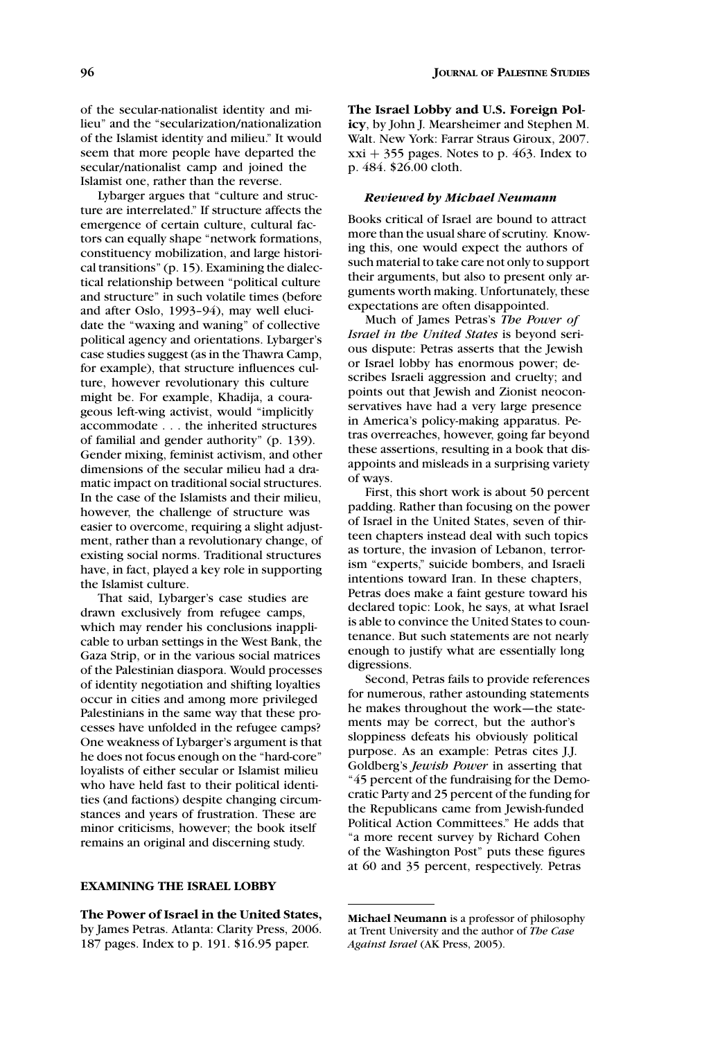of the secular-nationalist identity and milieu" and the "secularization/nationalization of the Islamist identity and milieu." It would seem that more people have departed the secular/nationalist camp and joined the Islamist one, rather than the reverse.

Lybarger argues that "culture and structure are interrelated." If structure affects the emergence of certain culture, cultural factors can equally shape "network formations, constituency mobilization, and large historical transitions" (p. 15). Examining the dialectical relationship between "political culture and structure" in such volatile times (before and after Oslo, 1993–94), may well elucidate the "waxing and waning" of collective political agency and orientations. Lybarger's case studies suggest (as in the Thawra Camp, for example), that structure influences culture, however revolutionary this culture might be. For example, Khadija, a courageous left-wing activist, would "implicitly accommodate . . . the inherited structures of familial and gender authority" (p. 139). Gender mixing, feminist activism, and other dimensions of the secular milieu had a dramatic impact on traditional social structures. In the case of the Islamists and their milieu, however, the challenge of structure was easier to overcome, requiring a slight adjustment, rather than a revolutionary change, of existing social norms. Traditional structures have, in fact, played a key role in supporting the Islamist culture.

That said, Lybarger's case studies are drawn exclusively from refugee camps, which may render his conclusions inapplicable to urban settings in the West Bank, the Gaza Strip, or in the various social matrices of the Palestinian diaspora. Would processes of identity negotiation and shifting loyalties occur in cities and among more privileged Palestinians in the same way that these processes have unfolded in the refugee camps? One weakness of Lybarger's argument is that he does not focus enough on the "hard-core" loyalists of either secular or Islamist milieu who have held fast to their political identities (and factions) despite changing circumstances and years of frustration. These are minor criticisms, however; the book itself remains an original and discerning study.

## **EXAMINING THE ISRAEL LOBBY**

**The Power of Israel in the United States,** by James Petras. Atlanta: Clarity Press, 2006. 187 pages. Index to p. 191. \$16.95 paper.

**The Israel Lobby and U.S. Foreign Policy**, by John J. Mearsheimer and Stephen M. Walt. New York: Farrar Straus Giroux, 2007.  $xxi + 355$  pages. Notes to p. 463. Index to p. 484. \$26.00 cloth.

## *Reviewed by Michael Neumann*

Books critical of Israel are bound to attract more than the usual share of scrutiny. Knowing this, one would expect the authors of such material to take care not only to support their arguments, but also to present only arguments worth making. Unfortunately, these expectations are often disappointed.

Much of James Petras's *The Power of Israel in the United States* is beyond serious dispute: Petras asserts that the Jewish or Israel lobby has enormous power; describes Israeli aggression and cruelty; and points out that Jewish and Zionist neoconservatives have had a very large presence in America's policy-making apparatus. Petras overreaches, however, going far beyond these assertions, resulting in a book that disappoints and misleads in a surprising variety of ways.

First, this short work is about 50 percent padding. Rather than focusing on the power of Israel in the United States, seven of thirteen chapters instead deal with such topics as torture, the invasion of Lebanon, terrorism "experts," suicide bombers, and Israeli intentions toward Iran. In these chapters, Petras does make a faint gesture toward his declared topic: Look, he says, at what Israel is able to convince the United States to countenance. But such statements are not nearly enough to justify what are essentially long digressions.

Second, Petras fails to provide references for numerous, rather astounding statements he makes throughout the work—the statements may be correct, but the author's sloppiness defeats his obviously political purpose. As an example: Petras cites J.J. Goldberg's *Jewish Power* in asserting that "45 percent of the fundraising for the Democratic Party and 25 percent of the funding for the Republicans came from Jewish-funded Political Action Committees." He adds that "a more recent survey by Richard Cohen of the Washington Post" puts these figures at 60 and 35 percent, respectively. Petras

**Michael Neumann** is a professor of philosophy at Trent University and the author of *The Case Against Israel* (AK Press, 2005).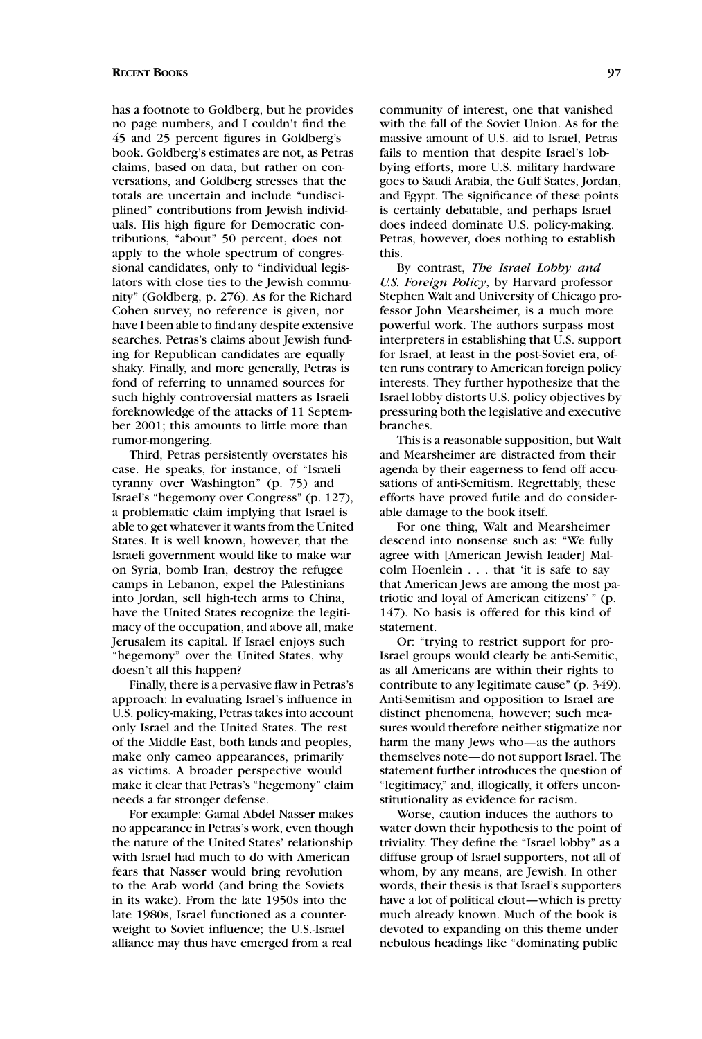### **RECENT BOOKS 97**

has a footnote to Goldberg, but he provides no page numbers, and I couldn't find the 45 and 25 percent figures in Goldberg's book. Goldberg's estimates are not, as Petras claims, based on data, but rather on conversations, and Goldberg stresses that the totals are uncertain and include "undisciplined" contributions from Jewish individuals. His high figure for Democratic contributions, "about" 50 percent, does not apply to the whole spectrum of congressional candidates, only to "individual legislators with close ties to the Jewish community" (Goldberg, p. 276). As for the Richard Cohen survey, no reference is given, nor have I been able to find any despite extensive searches. Petras's claims about Jewish funding for Republican candidates are equally shaky. Finally, and more generally, Petras is fond of referring to unnamed sources for such highly controversial matters as Israeli foreknowledge of the attacks of 11 September 2001; this amounts to little more than rumor-mongering.

Third, Petras persistently overstates his case. He speaks, for instance, of "Israeli tyranny over Washington" (p. 75) and Israel's "hegemony over Congress" (p. 127), a problematic claim implying that Israel is able to get whatever it wants from the United States. It is well known, however, that the Israeli government would like to make war on Syria, bomb Iran, destroy the refugee camps in Lebanon, expel the Palestinians into Jordan, sell high-tech arms to China, have the United States recognize the legitimacy of the occupation, and above all, make Jerusalem its capital. If Israel enjoys such "hegemony" over the United States, why doesn't all this happen?

Finally, there is a pervasive flaw in Petras's approach: In evaluating Israel's influence in U.S. policy-making, Petras takes into account only Israel and the United States. The rest of the Middle East, both lands and peoples, make only cameo appearances, primarily as victims. A broader perspective would make it clear that Petras's "hegemony" claim needs a far stronger defense.

For example: Gamal Abdel Nasser makes no appearance in Petras's work, even though the nature of the United States' relationship with Israel had much to do with American fears that Nasser would bring revolution to the Arab world (and bring the Soviets in its wake). From the late 1950s into the late 1980s, Israel functioned as a counterweight to Soviet influence; the U.S.-Israel alliance may thus have emerged from a real

community of interest, one that vanished with the fall of the Soviet Union. As for the massive amount of U.S. aid to Israel, Petras fails to mention that despite Israel's lobbying efforts, more U.S. military hardware goes to Saudi Arabia, the Gulf States, Jordan, and Egypt. The significance of these points is certainly debatable, and perhaps Israel does indeed dominate U.S. policy-making. Petras, however, does nothing to establish this.

By contrast, *The Israel Lobby and U.S. Foreign Policy*, by Harvard professor Stephen Walt and University of Chicago professor John Mearsheimer, is a much more powerful work. The authors surpass most interpreters in establishing that U.S. support for Israel, at least in the post-Soviet era, often runs contrary to American foreign policy interests. They further hypothesize that the Israel lobby distorts U.S. policy objectives by pressuring both the legislative and executive branches.

This is a reasonable supposition, but Walt and Mearsheimer are distracted from their agenda by their eagerness to fend off accusations of anti-Semitism. Regrettably, these efforts have proved futile and do considerable damage to the book itself.

For one thing, Walt and Mearsheimer descend into nonsense such as: "We fully agree with [American Jewish leader] Malcolm Hoenlein . . . that 'it is safe to say that American Jews are among the most patriotic and loyal of American citizens' " (p. 147). No basis is offered for this kind of statement.

Or: "trying to restrict support for pro-Israel groups would clearly be anti-Semitic, as all Americans are within their rights to contribute to any legitimate cause" (p. 349). Anti-Semitism and opposition to Israel are distinct phenomena, however; such measures would therefore neither stigmatize nor harm the many Jews who—as the authors themselves note—do not support Israel. The statement further introduces the question of "legitimacy," and, illogically, it offers unconstitutionality as evidence for racism.

Worse, caution induces the authors to water down their hypothesis to the point of triviality. They define the "Israel lobby" as a diffuse group of Israel supporters, not all of whom, by any means, are Jewish. In other words, their thesis is that Israel's supporters have a lot of political clout—which is pretty much already known. Much of the book is devoted to expanding on this theme under nebulous headings like "dominating public